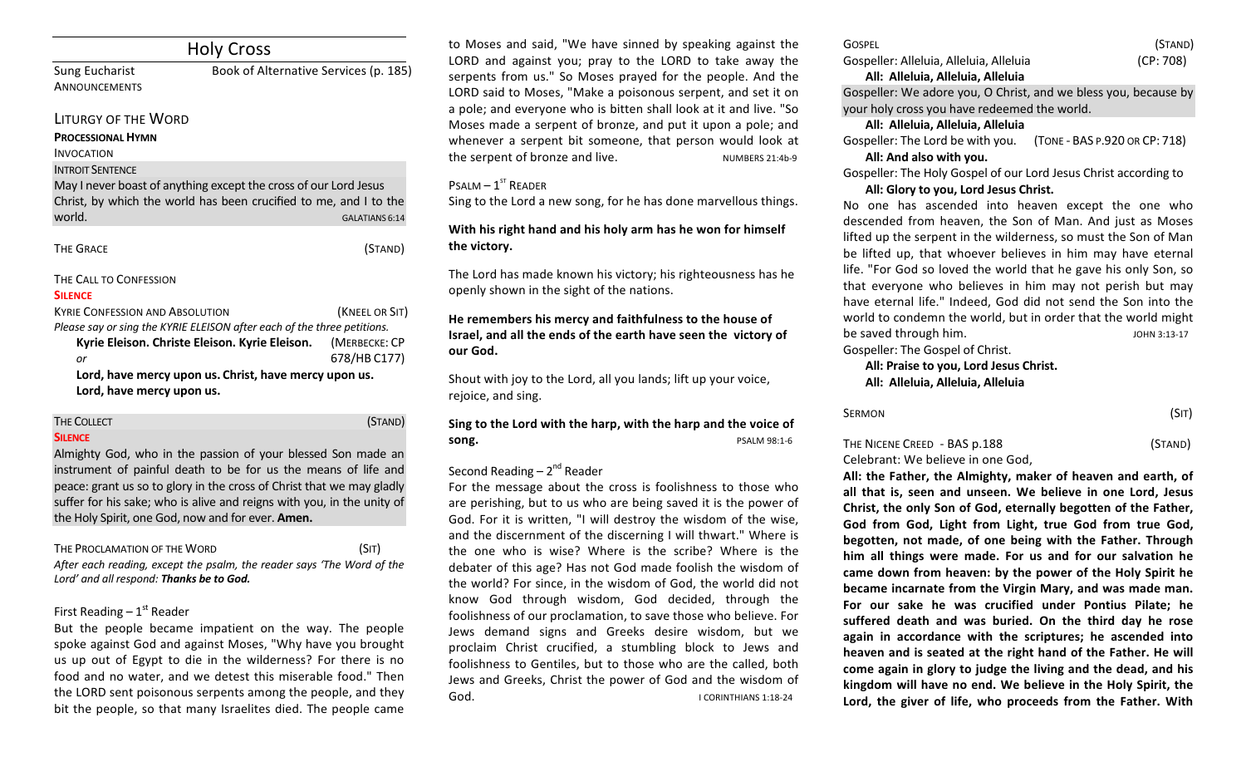|                                               | <b>Holy Cross</b>                                                                                                                     |                       |
|-----------------------------------------------|---------------------------------------------------------------------------------------------------------------------------------------|-----------------------|
| <b>Sung Eucharist</b><br>ANNOUNCEMENTS        | Book of Alternative Services (p. 185)                                                                                                 |                       |
| <b>LITURGY OF THE WORD</b>                    |                                                                                                                                       |                       |
| <b>PROCESSIONAL HYMN</b><br><b>INVOCATION</b> |                                                                                                                                       |                       |
| <b>INTROIT SENTENCE</b>                       |                                                                                                                                       |                       |
| world.                                        | May I never boast of anything except the cross of our Lord Jesus<br>Christ, by which the world has been crucified to me, and I to the | <b>GALATIANS 6:14</b> |
| <b>THE GRACE</b>                              |                                                                                                                                       | (STAND)               |
| THE CALL TO CONFESSION<br><b>SILENCE</b>      |                                                                                                                                       |                       |
| <b>KYRIF CONFESSION AND ABSOLUTION</b>        |                                                                                                                                       | (KNEEL OR SIT)        |
|                                               | Please say or sing the KYRIE ELEISON after each of the three petitions.                                                               |                       |
|                                               | Kyrie Eleison. Christe Eleison. Kyrie Eleison.                                                                                        | (MERBECKE: CP         |
| or                                            |                                                                                                                                       | 678/HB C177)          |
| Lord, have mercy upon us.                     | Lord, have mercy upon us. Christ, have mercy upon us.                                                                                 |                       |
| <b>THE COLLECT</b>                            |                                                                                                                                       | (STAND)               |

Almighty God, who in the passion of your blessed Son made an instrument of painful death to be for us the means of life and peace: grant us so to glory in the cross of Christ that we may gladly suffer for his sake; who is alive and reigns with you, in the unity of the Holy Spirit, one God, now and for ever. Amen.

THE PROCLAMATION OF THE WORD (SIT) After each reading, except the psalm, the reader says 'The Word of the Lord' and all respond: Thanks be to God.

# First Reading  $-1<sup>st</sup>$  Reader

But the people became impatient on the way. The people spoke against God and against Moses, "Why have you brought us up out of Egypt to die in the wilderness? For there is no food and no water, and we detest this miserable food." Then the LORD sent poisonous serpents among the people, and they bit the people, so that many Israelites died. The people came

to Moses and said, "We have sinned by speaking against the LORD and against you; pray to the LORD to take away the serpents from us." So Moses prayed for the people. And the LORD said to Moses, "Make a poisonous serpent, and set it on a pole; and everyone who is bitten shall look at it and live. "So Moses made a serpent of bronze, and put it upon a pole; and whenever a serpent bit someone, that person would look at the serpent of bronze and live. NUMBERS 21:4b-9 

# $P$ SALM  $-1$ <sup>ST</sup> READER

Sing to the Lord a new song, for he has done marvellous things.

With his right hand and his holy arm has he won for himself the victory.

The Lord has made known his victory; his righteousness has he openly shown in the sight of the nations.

# He remembers his mercy and faithfulness to the house of **Israel, and all the ends of the earth have seen the victory of** our God.

Shout with joy to the Lord, all you lands; lift up your voice, rejoice, and sing.

# Sing to the Lord with the harp, with the harp and the voice of **song. Song. 11-6 CONDICE 2012 CONDICE 2012 CONDICE 2012 PSALM 98:1-6 PSALM** 98:1-6

# Second Reading –  $2^{nd}$  Reader

For the message about the cross is foolishness to those who are perishing, but to us who are being saved it is the power of God. For it is written, "I will destroy the wisdom of the wise, and the discernment of the discerning I will thwart." Where is the one who is wise? Where is the scribe? Where is the debater of this age? Has not God made foolish the wisdom of the world? For since, in the wisdom of God, the world did not know God through wisdom, God decided, through the foolishness of our proclamation, to save those who believe. For Jews demand signs and Greeks desire wisdom, but we proclaim Christ crucified, a stumbling block to Jews and foolishness to Gentiles, but to those who are the called, both Jews and Greeks, Christ the power of God and the wisdom of  $\mathsf{God}$   $\mathsf{I}$ 

| GOSPEL                                  | (STAND)   |
|-----------------------------------------|-----------|
| Gospeller: Alleluia, Alleluia, Alleluia | (CP: 708) |
| All: Alleluia, Alleluia, Alleluia       |           |

Gospeller: We adore you, O Christ, and we bless you, because by your holy cross you have redeemed the world.

## **All: Alleluia, Alleluia, Alleluia**

Gospeller: The Lord be with you. (TONE - BAS P.920 OR CP: 718) All: And also with you.

Gospeller: The Holy Gospel of our Lord Jesus Christ according to

# All: Glory to you, Lord Jesus Christ.

No one has ascended into heaven except the one who descended from heaven, the Son of Man. And just as Moses lifted up the serpent in the wilderness, so must the Son of Man be lifted up, that whoever believes in him may have eternal life. "For God so loved the world that he gave his only Son, so that everyone who believes in him may not perish but may have eternal life." Indeed, God did not send the Son into the world to condemn the world, but in order that the world might be saved through him. JOHN 3:13-17

Gospeller: The Gospel of Christ.

# All: Praise to you, Lord Jesus Christ. **All: Alleluia, Alleluia, Alleluia**

| Sermon | (SIT) |
|--------|-------|
|        |       |

# THE NICENE CREED - BAS p.188 (STAND) Celebrant: We believe in one God,

All: the Father, the Almighty, maker of heaven and earth, of all that is, seen and unseen. We believe in one Lord, Jesus Christ, the only Son of God, eternally begotten of the Father, God from God, Light from Light, true God from true God, begotten, not made, of one being with the Father. Through him all things were made. For us and for our salvation he came down from heaven: by the power of the Holy Spirit he **became incarnate from the Virgin Mary, and was made man.** For our sake he was crucified under Pontius Pilate: he suffered death and was buried. On the third day he rose again in accordance with the scriptures; he ascended into heaven and is seated at the right hand of the Father. He will come again in glory to judge the living and the dead, and his kingdom will have no end. We believe in the Holy Spirit, the Lord, the giver of life, who proceeds from the Father. With